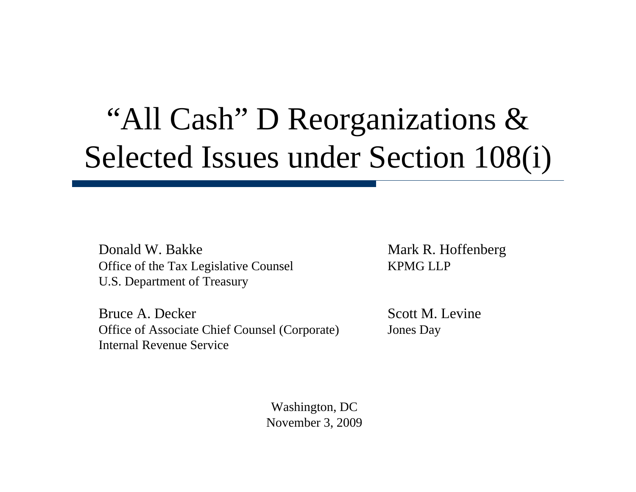# "All Cash" D Reorganizations & Selected Issues under Section 108(i)

Donald W. Bakke Mark R. Hoffenberg Office of the Tax Legislative Counsel KPMG LLP U.S. Department of Treasury

Bruce A. Decker Scott M. Levine Office of Associate Chief Counsel (Corporate) Jones Day Internal Revenue Service

Washington, DC November 3, 2009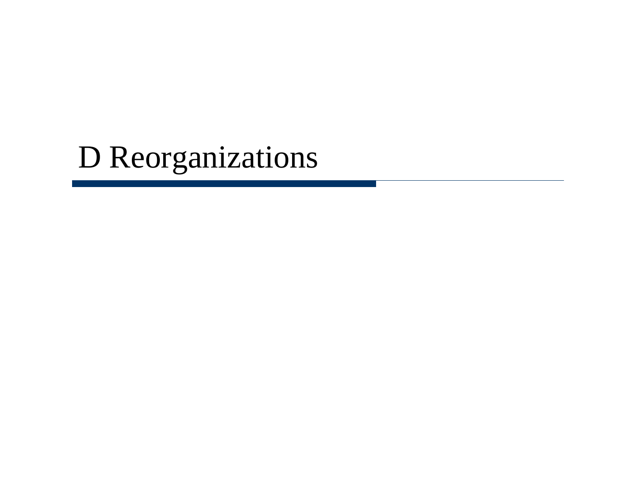# D Reorganizations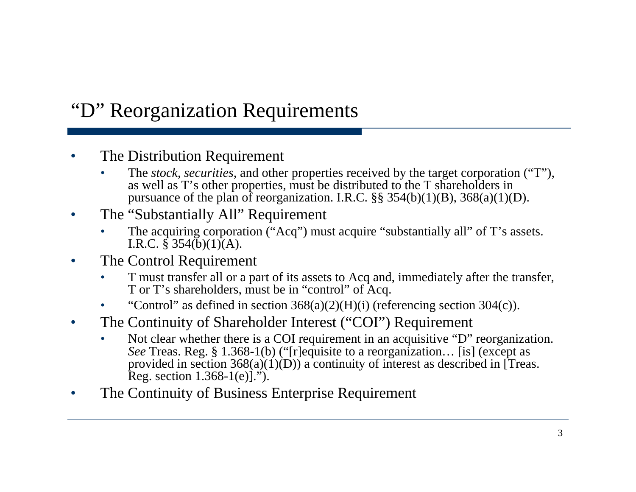### "D" Reorganization Requirements

- The Distribution Requirement
	- The *stock*, *securities*, and other properties received by the target corporation ("T"), as well as T's other properties, must be distributed to the T shareholders in pursuance of the plan of reorganization. I.R.C.  $\S$ § 354(b)(1)(B), 368(a)(1)(D).
- The "Substantially All" Requirement
	- The acquiring corporation ("Acq") must acquire "substantially all" of T's assets. I.R.C.  $\hat{\S}$  354(b)(1)(A).
- The Control Requirement
	- T must transfer all or a part of its assets to Acq and, immediately after the transfer, T or T's shareholders, must be in "control" of Acq.
	- "Control" as defined in section  $368(a)(2)(H)(i)$  (referencing section 304(c)).
- The Continuity of Shareholder Interest ("COI") Requirement
	- Not clear whether there is a COI requirement in an acquisitive "D" reorganization. *See* Treas. Reg. § 1.368-1(b) ("[r]equisite to a reorganization… [is] (except as provided in section  $368(a)(1)(D)$  a continuity of interest as described in [Treas. Reg. section  $1.368-1(e)$ .").
- The Continuity of Business Enterprise Requirement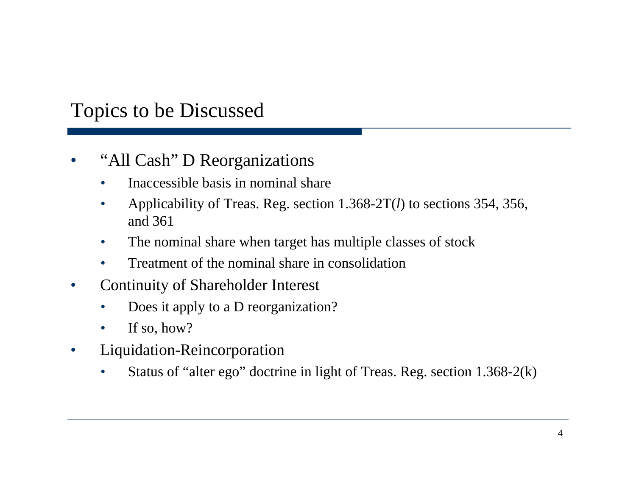### Topics to be Discussed

#### • "All Cash" D Reorganizations

- Inaccessible basis in nominal share
- Applicability of Treas. Reg. section 1.368-2T(*l*) to sections 354, 356, and 361
- The nominal share when target has multiple classes of stock
- Treatment of the nominal share in consolidation
- Continuity of Shareholder Interest
	- Does it apply to a D reorganization?
	- If so, how?
- Liquidation-Reincorporation
	- Status of "alter ego" doctrine in light of Treas. Reg. section 1.368-2(k)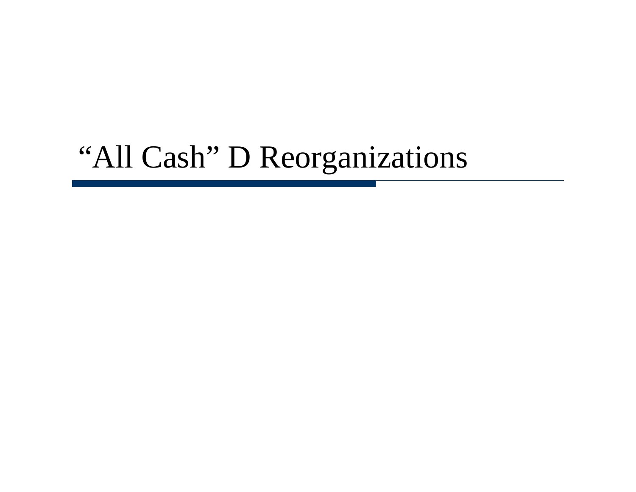# "All Cash" D Reorganizations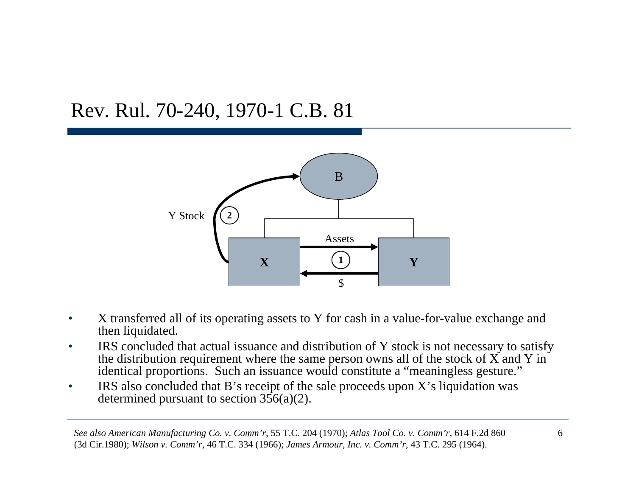### Rev. Rul. 70-240, 1970-1 C.B. 81



- X transferred all of its operating assets to Y for cash in a value-for-value exchange and then liquidated.
- IRS concluded that actual issuance and distribution of Y stock is not necessary to satisfy the distribution requirement where the same person owns all of the stock of X and Y in identical proportions. Such an issuance would constitute a "meaningless gesture."
- IRS also concluded that B's receipt of the sale proceeds upon X's liquidation was determined pursuant to section 356(a)(2).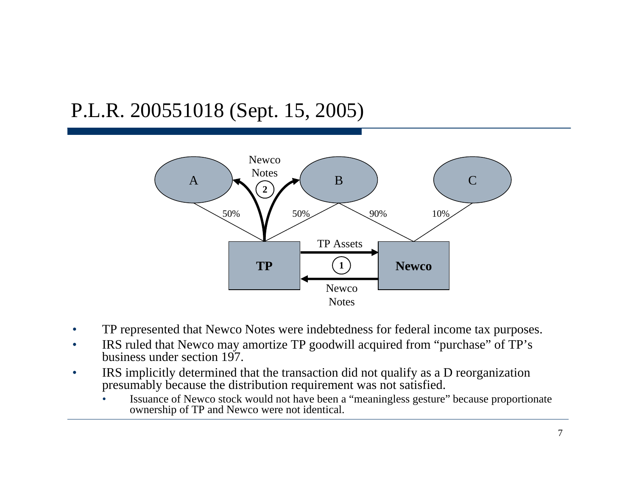### P.L.R. 200551018 (Sept. 15, 2005)



- TP represented that Newco Notes were indebtedness for federal income tax purposes.
- IRS ruled that Newco may amortize TP goodwill acquired from "purchase" of TP's business under section 197.
- IRS implicitly determined that the transaction did not qualify as a D reorganization presumably because the distribution requirement was not satisfied.
	- Issuance of Newco stock would not have been a "meaningless gesture" because proportionate ownership of TP and Newco were not identical.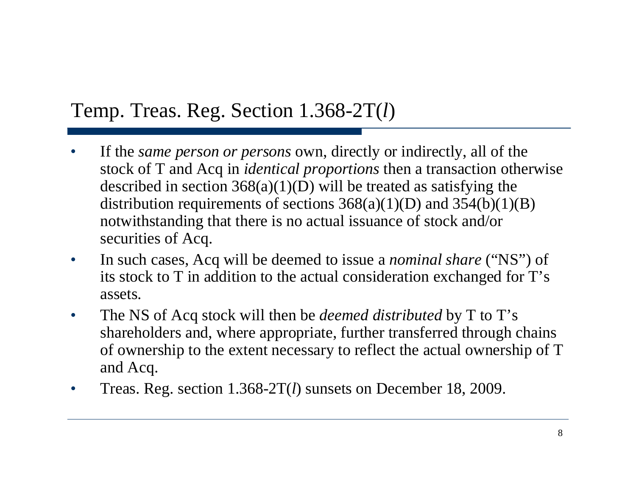### Temp. Treas. Reg. Section 1.368-2T( *l* )

- If the *same person or persons* own, directly or indirectly, all of the stock of T and Acq in *identical proportions* then a transaction otherwise described in section  $368(a)(1)(D)$  will be treated as satisfying the distribution requirements of sections  $368(a)(1)(D)$  and  $354(b)(1)(B)$ notwithstanding that there is no actual issuance of stock and/or securities of Acq.
- In such cases, Acq will be deemed to issue a *nominal share* ("NS") of its stock to T in addition to the actual consideration exchanged for T's assets.
- The NS of Acq stock will then be *deemed distributed* by T to T's shareholders and, where appropriate, further transferred through chains of ownership to the extent necessary to reflect the actual ownership of T and Acq.
- Treas. Reg. section 1.368-2T( *l*) sunsets on December 18, 2009.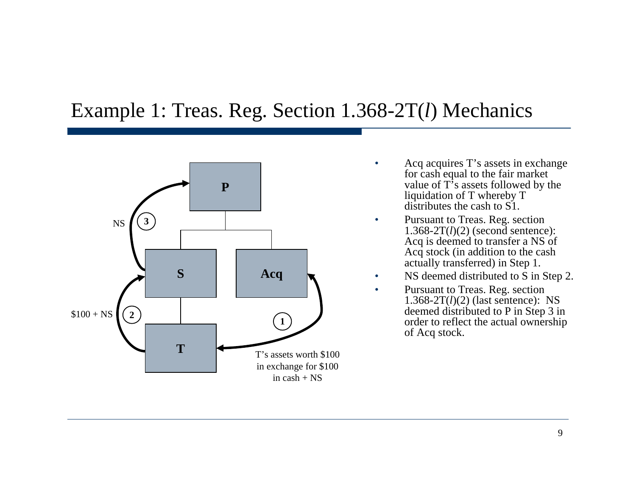#### Example 1: Treas. Reg. Section 1.368-2T( *l*) Mechanics



- Acq acquires T's assets in exchange for cash equal to the fair market value of T's assets followed by the liquidation of T whereby T distributes the cash to S1.
- Pursuant to Treas. Reg. section 1.368-2T(*l*)(2) (second sentence): Acq is deemed to transfer a NS of Acq stock (in addition to the cash actually transferred) in Step 1.
- NS deemed distributed to S in Step 2.
	- Pursuant to Treas. Reg. section 1.368-2T(*l*)(2) (last sentence): NS deemed distributed to P in Step 3 in order to reflect the actual ownership of Acq stock.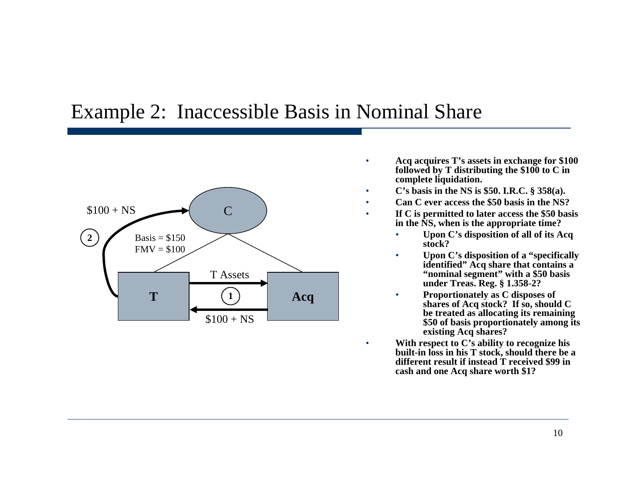#### Example 2: Inaccessible Basis in Nominal Share



- **Acq acquires T's assets in exchange for \$100 followed by T distributing the \$100 to C in complete liquidation.**
- **C's basis in the NS is \$50. I.R.C. § 358(a).**
- **Can C ever access the \$50 basis in the NS?**
- **If C is permitted to later access the \$50 basis in the NS, when is the appropriate time?** 
	- **Upon C's disposition of all of its Acq stock?**
	- **Upon C's disposition of a "specifically identified" Acq share that contains a "nominal segment" with a \$50 basis under Treas. Reg. § 1.358-2?**
	- **Proportionately as C disposes of shares of Acq stock? If so, should C be treated as allocating its remaining \$50 of basis proportionately among its existing Acq shares?**
	- **With respect to C's ability to recognize his built-in loss in his T stock, should there be a different result if instead T received \$99 in cash and one Acq share worth \$1?**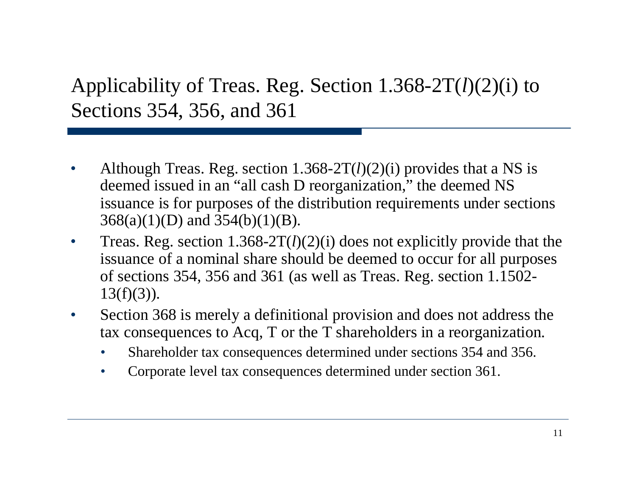Applicability of Treas. Reg. Section 1.368-2T( *l*)(2)(i) to Sections 354, 356, and 361

- Although Treas. Reg. section 1.368-2T(*l*)(2)(i) provides that a NS is deemed issued in an "all cash D reorganization," the deemed NS issuance is for purposes of the distribution requirements under sections 368(a)(1)(D) and 354(b)(1)(B).
- Treas. Reg. section 1.368-2T(*l*)(2)(i) does not explicitly provide that the issuance of a nominal share should be deemed to occur for all purposes of sections 354, 356 and 361 (as well as Treas. Reg. section 1.1502-  $13(f)(3)$ ).
- Section 368 is merely a definitional provision and does not address the tax consequences to Acq, T or the T shareholders in a reorganization.
	- Shareholder tax consequences determined under sections 354 and 356.
	- Corporate level tax consequences determined under section 361.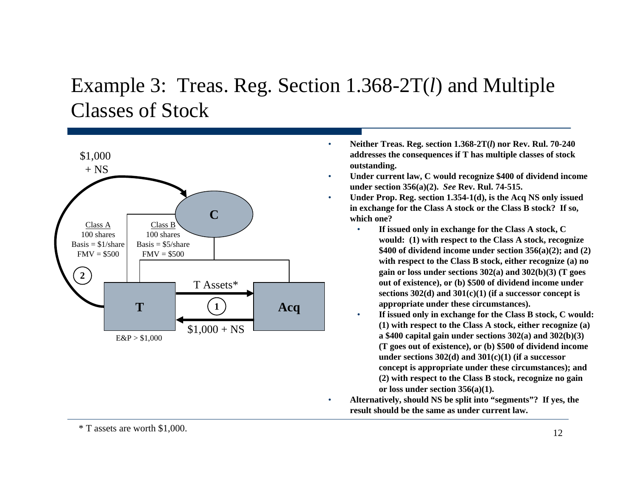# Example 3: Treas. Reg. Section 1.368-2T( *l*) and Multiple Classes of Stock



- **Neither Treas. Reg. section 1.368-2T(***l***) nor Rev. Rul. 70-240 addresses the consequences if T has multiple classes of stock outstanding.**
- **Under current law, C would recognize \$400 of dividend income under section 356(a)(2).** *See* **Rev. Rul. 74-515.**
- **Under Prop. Reg. section 1.354-1(d), is the Acq NS only issued in exchange for the Class A stock or the Class B stock? If so, which one?**
	- **If issued only in exchange for the Class A stock, C would: (1) with respect to the Class A stock, recognize \$400 of dividend income under section 356(a)(2); and (2) with respect to the Class B stock, either recognize (a) no gain or loss under sections 302(a) and 302(b)(3) (T goes out of existence), or (b) \$500 of dividend income under sections 302(d) and 301(c)(1) (if a successor concept is appropriate under these circumstances).**
	- **If issued only in exchange for the Class B stock, C would: (1) with respect to the Class A stock, either recognize (a) a \$400 capital gain under sections 302(a) and 302(b)(3) (T goes out of existence), or (b) \$500 of dividend income under sections 302(d) and 301(c)(1) (if a successor concept is appropriate under these circumstances); and (2) with respect to the Class B stock, recognize no gain or loss under section 356(a)(1).**
- **Alternatively, should NS be split into "segments"? If yes, the result should be the same as under current law.**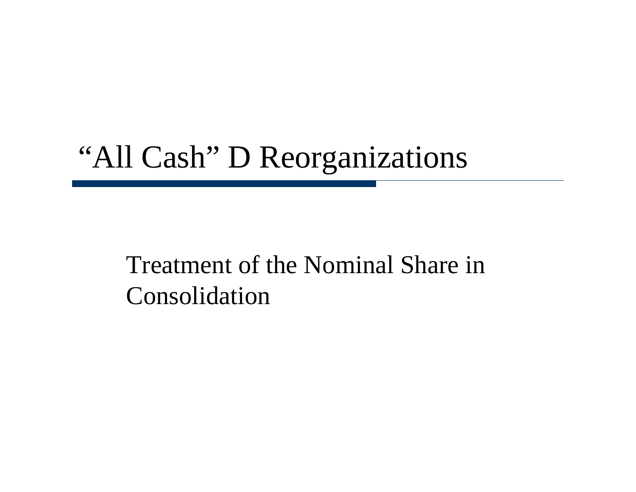# "All Cash" D Reorganizations

# Treatment of the Nominal Share in Consolidation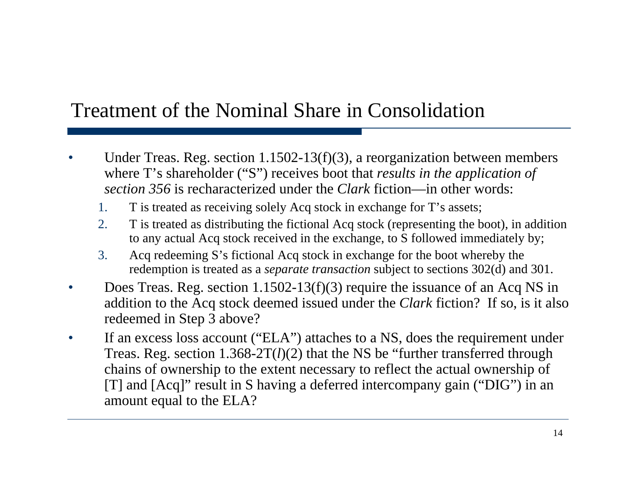### Treatment of the Nominal Share in Consolidation

- Under Treas. Reg. section  $1.1502-13(f)(3)$ , a reorganization between members where T's shareholder ("S") receives boot that *results in the application of section 356* is recharacterized under the *Clark* fiction—in other words:
	- 1. T is treated as receiving solely Acq stock in exchange for T's assets;
	- 2. T is treated as distributing the fictional Acq stock (representing the boot), in addition to any actual Acq stock received in the exchange, to S followed immediately by;
	- 3. Acq redeeming S's fictional Acq stock in exchange for the boot whereby the redemption is treated as a *separate transaction* subject to sections 302(d) and 301.
- Does Treas. Reg. section 1.1502-13(f)(3) require the issuance of an Acq NS in addition to the Acq stock deemed issued under the *Clark* fiction? If so, is it also redeemed in Step 3 above?
- If an excess loss account ("ELA") attaches to a NS, does the requirement under Treas. Reg. section 1.368-2T(*l*)(2) that the NS be "further transferred through chains of ownership to the extent necessary to reflect the actual ownership of [T] and [Acq]" result in S having a deferred intercompany gain ("DIG") in an amount equal to the ELA?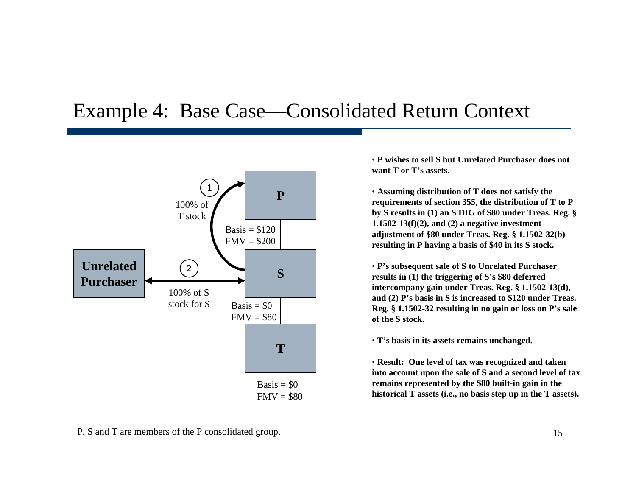#### Example 4: Base Case—Consolidated Return Context



• **P wishes to sell S but Unrelated Purchaser does not want T or T's assets.**

• **Assuming distribution of T does not satisfy the requirements of section 355, the distribution of T to P by S results in (1) an S DIG of \$80 under Treas. Reg. § 1.1502-13(f)(2), and (2) a negative investment adjustment of \$80 under Treas. Reg. § 1.1502-32(b) resulting in P having a basis of \$40 in its S stock.**

• **P's subsequent sale of S to Unrelated Purchaser results in (1) the triggering of S's \$80 deferred intercompany gain under Treas. Reg. § 1.1502-13(d), and (2) P's basis in S is increased to \$120 under Treas. Reg. § 1.1502-32 resulting in no gain or loss on P's sale of the S stock.**

• **T's basis in its assets remains unchanged.**

• **Result: One level of tax was recognized and taken into account upon the sale of S and a second level of tax remains represented by the \$80 built-in gain in the historical T assets (i.e., no basis step up in the T assets).**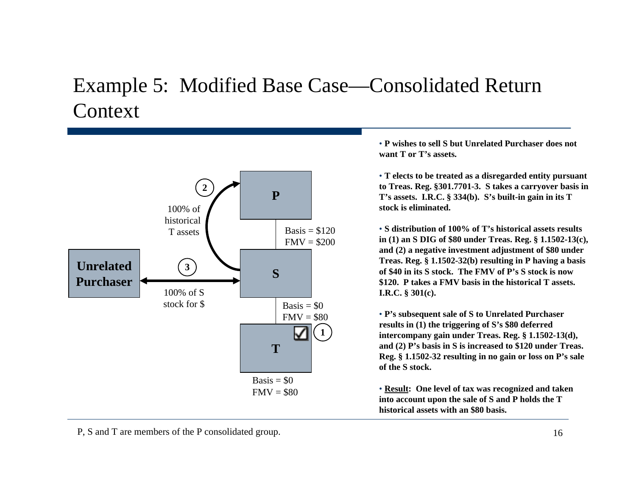### Example 5: Modified Base Case—Consolidated Return **Context**



• **P wishes to sell S but Unrelated Purchaser does not want T or T's assets.**

• **T elects to be treated as a disregarded entity pursuant to Treas. Reg. §301.7701-3. S takes a carryover basis in T's assets. I.R.C. § 334(b). S's built-in gain in its T stock is eliminated.**

• **S distribution of 100% of T's historical assets results in (1) an S DIG of \$80 under Treas. Reg. § 1.1502-13(c), and (2) a negative investment adjustment of \$80 under Treas. Reg. § 1.1502-32(b) resulting in P having a basis of \$40 in its S stock. The FMV of P's S stock is now \$120. P takes a FMV basis in the historical T assets. I.R.C. § 301(c).**

• **P's subsequent sale of S to Unrelated Purchaser results in (1) the triggering of S's \$80 deferred intercompany gain under Treas. Reg. § 1.1502-13(d), and (2) P's basis in S is increased to \$120 under Treas. Reg. § 1.1502-32 resulting in no gain or loss on P's sale of the S stock.**

• **Result: One level of tax was recognized and taken into account upon the sale of S and P holds the T historical assets with an \$80 basis.**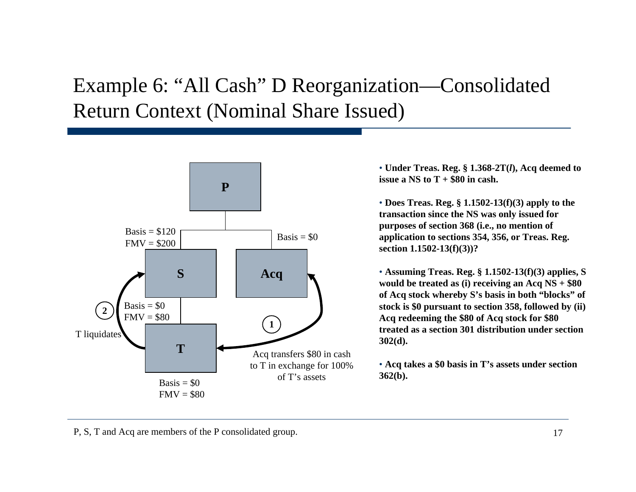# Example 6: "All Cash" D Reorganization—Consolidated Return Context (Nominal Share Issued)



• **Under Treas. Reg. § 1.368-2T(***l***), Acq deemed to issue a NS to T + \$80 in cash.** 

• **Does Treas. Reg. § 1.1502-13(f)(3) apply to the transaction since the NS was only issued for purposes of section 368 (i.e., no mention of application to sections 354, 356, or Treas. Reg. section 1.1502-13(f)(3))?**

• **Assuming Treas. Reg. § 1.1502-13(f)(3) applies, S would be treated as (i) receiving an Acq NS + \$80 of Acq stock whereby S's basis in both "blocks" of stock is \$0 pursuant to section 358, followed by (ii) Acq redeeming the \$80 of Acq stock for \$80 treated as a section 301 distribution under section 302(d).**

• **Acq takes a \$0 basis in T's assets under section 362(b).**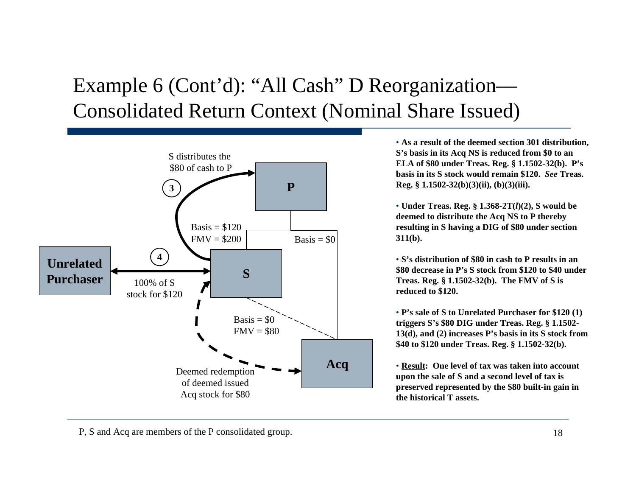# Example 6 (Cont'd): "All Cash" D Reorganization— Consolidated Return Context (Nominal Share Issued)



• **As a result of the deemed section 301 distribution, S's basis in its Acq NS is reduced from \$0 to an ELA of \$80 under Treas. Reg. § 1.1502-32(b). P's basis in its S stock would remain \$120.** *See* **Treas. Reg. § 1.1502-32(b)(3)(ii), (b)(3)(iii).**

• **Under Treas. Reg. § 1.368-2T(***l***)(2), S would be deemed to distribute the Acq NS to P thereby resulting in S having a DIG of \$80 under section 311(b).**

• **S's distribution of \$80 in cash to P results in an \$80 decrease in P's S stock from \$120 to \$40 under Treas. Reg. § 1.1502-32(b). The FMV of S is reduced to \$120.**

• **P's sale of S to Unrelated Purchaser for \$120 (1) triggers S's \$80 DIG under Treas. Reg. § 1.1502- 13(d), and (2) increases P's basis in its S stock from \$40 to \$120 under Treas. Reg. § 1.1502-32(b).**

• **Result: One level of tax was taken into account upon the sale of S and a second level of tax is preserved represented by the \$80 built-in gain in the historical T assets.**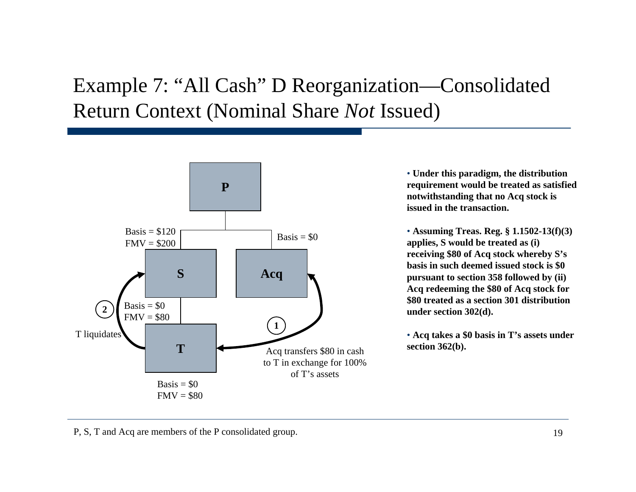# Example 7: "All Cash" D Reorganization—Consolidated Return Context (Nominal Share *Not* Issued)



• **Under this paradigm, the distribution requirement would be treated as satisfied notwithstanding that no Acq stock is issued in the transaction.**

• **Assuming Treas. Reg. § 1.1502-13(f)(3) applies, S would be treated as (i) receiving \$80 of Acq stock whereby S's basis in such deemed issued stock is \$0 pursuant to section 358 followed by (ii) Acq redeeming the \$80 of Acq stock for \$80 treated as a section 301 distribution under section 302(d).**

• **Acq takes a \$0 basis in T's assets under section 362(b).**

P, S, T and Acq are members of the P consolidated group.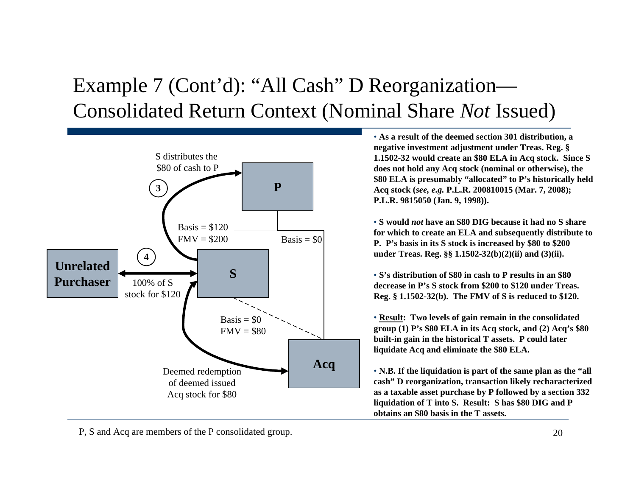# Example 7 (Cont'd): "All Cash" D Reorganization— Consolidated Return Context (Nominal Share *Not* Issued)



• **As a result of the deemed section 301 distribution, a negative investment adjustment under Treas. Reg. § 1.1502-32 would create an \$80 ELA in Acq stock. Since S does not hold any Acq stock (nominal or otherwise), the \$80 ELA is presumably "allocated" to P's historically held Acq stock (***see, e.g.* **P.L.R. 200810015 (Mar. 7, 2008); P.L.R. 9815050 (Jan. 9, 1998)).**

• **S would** *not* **have an \$80 DIG because it had no S share for which to create an ELA and subsequently distribute to P. P's basis in its S stock is increased by \$80 to \$200 under Treas. Reg. §§ 1.1502-32(b)(2)(ii) and (3)(ii).**

• **S's distribution of \$80 in cash to P results in an \$80 decrease in P's S stock from \$200 to \$120 under Treas. Reg. § 1.1502-32(b). The FMV of S is reduced to \$120.**

• **Result: Two levels of gain remain in the consolidated group (1) P's \$80 ELA in its Acq stock, and (2) Acq's \$80 built-in gain in the historical T assets. P could later liquidate Acq and eliminate the \$80 ELA.** 

• **N.B. If the liquidation is part of the same plan as the "all cash" D reorganization, transaction likely recharacterized as a taxable asset purchase by P followed by a section 332 liquidation of T into S. Result: S has \$80 DIG and P obtains an \$80 basis in the T assets.**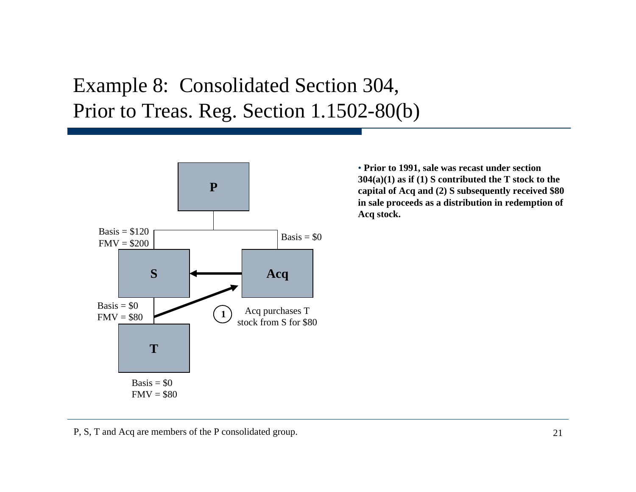## Example 8: Consolidated Section 304, Prior to Treas. Reg. Section 1.1502-80(b)



• **Prior to 1991, sale was recast under section 304(a)(1) as if (1) S contributed the T stock to the capital of Acq and (2) S subsequently received \$80 in sale proceeds as a distribution in redemption of Acq stock.**

#### P, S, T and Acq are members of the P consolidated group.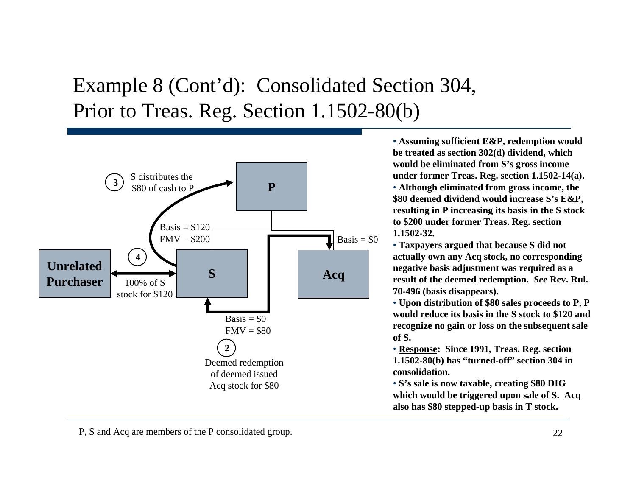# Example 8 (Cont'd): Consolidated Section 304, Prior to Treas. Reg. Section 1.1502-80(b)



• **Assuming sufficient E&P, redemption would be treated as section 302(d) dividend, which would be eliminated from S's gross income under former Treas. Reg. section 1.1502-14(a).**

• **Although eliminated from gross income, the \$80 deemed dividend would increase S's E&P, resulting in P increasing its basis in the S stock to \$200 under former Treas. Reg. section 1.1502-32.**

• **Taxpayers argued that because S did not actually own any Acq stock, no corresponding negative basis adjustment was required as a result of the deemed redemption.** *See* **Rev. Rul. 70-496 (basis disappears).**

• **Upon distribution of \$80 sales proceeds to P, P would reduce its basis in the S stock to \$120 and recognize no gain or loss on the subsequent sale of S.**

• **Response: Since 1991, Treas. Reg. section 1.1502-80(b) has "turned-off" section 304 in consolidation.**

• **S's sale is now taxable, creating \$80 DIG which would be triggered upon sale of S. Acq also has \$80 stepped-up basis in T stock.**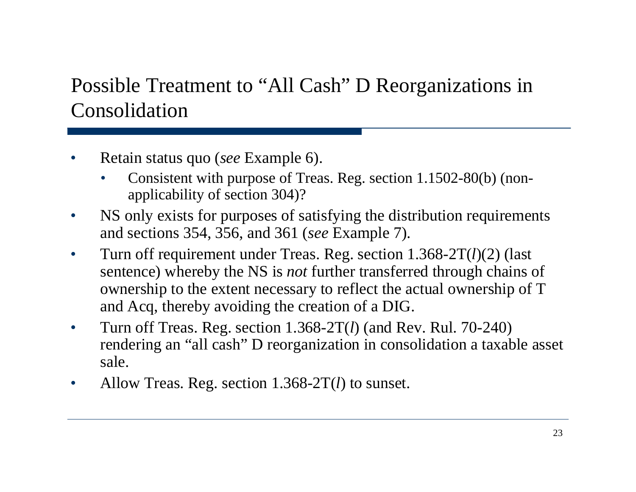# Possible Treatment to "All Cash" D Reorganizations in Consolidation

- Retain status quo (*see* Example 6).
	- Consistent with purpose of Treas. Reg. section 1.1502-80(b) (nonapplicability of section 304)?
- NS only exists for purposes of satisfying the distribution requirements and sections 354, 356, and 361 (*see* Example 7).
- Turn off requirement under Treas. Reg. section 1.368-2T( *l*)(2) (last sentence) whereby the NS is *not* further transferred through chains of ownership to the extent necessary to reflect the actual ownership of T and Acq, thereby avoiding the creation of a DIG.
- Turn off Treas. Reg. section 1.368-2T( *l*) (and Rev. Rul. 70-240) rendering an "all cash" D reorganization in consolidation a taxable asset sale.
- Allow Treas. Reg. section 1.368-2T( *l*) to sunset.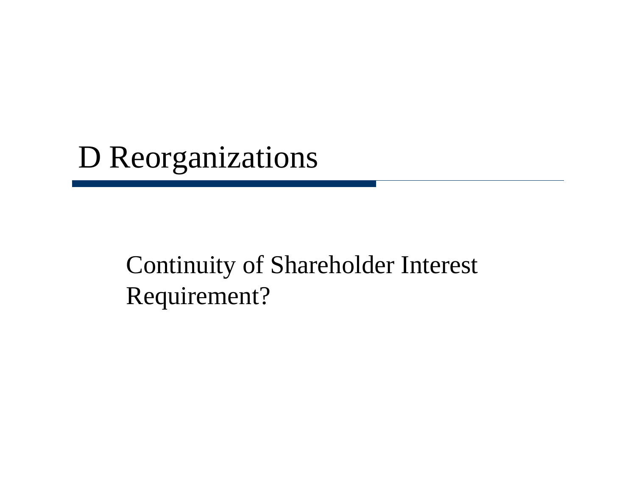# D Reorganizations

# Continuity of Shareholder Interest Requirement?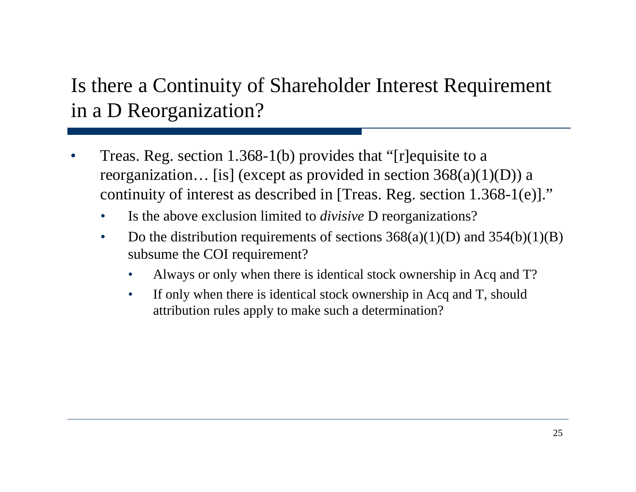# Is there a Continuity of Shareholder Interest Requirement in a D Reorganization?

- Treas. Reg. section 1.368-1(b) provides that "[r]equisite to a reorganization... [is] (except as provided in section  $368(a)(1)(D)$ ) a continuity of interest as described in [Treas. Reg. section 1.368-1(e)]."
	- Is the above exclusion limited to *divisive* D reorganizations?
	- Do the distribution requirements of sections  $368(a)(1)(D)$  and  $354(b)(1)(B)$ subsume the COI requirement?
		- Always or only when there is identical stock ownership in Acq and T?
		- If only when there is identical stock ownership in Acq and T, should attribution rules apply to make such a determination?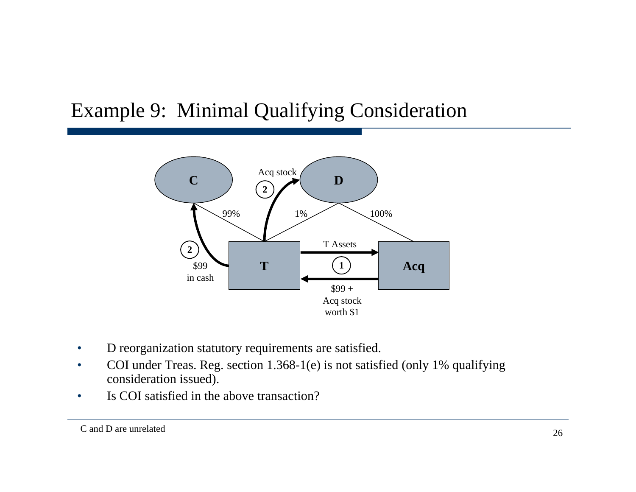### Example 9: Minimal Qualifying Consideration



- D reorganization statutory requirements are satisfied.
- COI under Treas. Reg. section 1.368-1(e) is not satisfied (only 1% qualifying consideration issued).
- Is COI satisfied in the above transaction?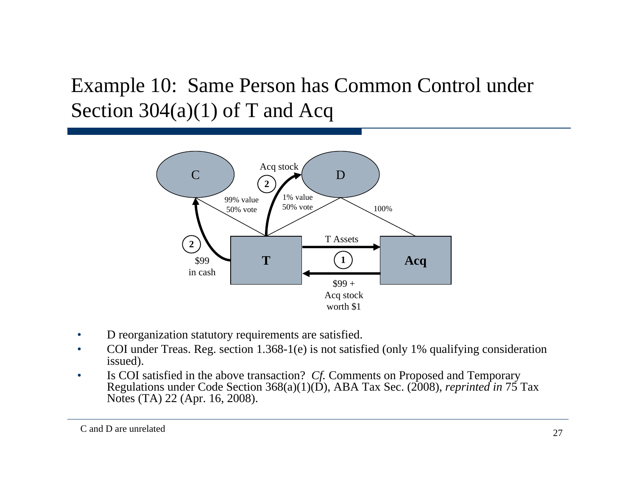# Example 10: Same Person has Common Control under Section  $304(a)(1)$  of T and Acq



- D reorganization statutory requirements are satisfied.
- COI under Treas. Reg. section 1.368-1(e) is not satisfied (only 1% qualifying consideration issued).
- Is COI satisfied in the above transaction? *Cf.* Comments on Proposed and Temporary Regulations under Code Section 368(a)(1)(D), ABA Tax Sec. (2008), *reprinted in* 75 Tax Notes (TA) 22 (Apr. 16, 2008).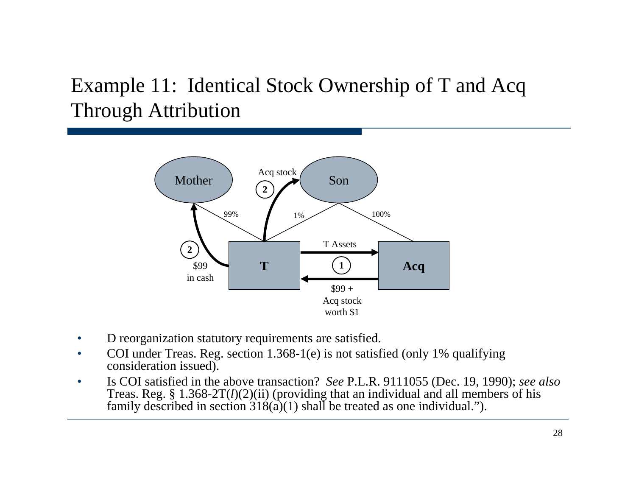# Example 11: Identical Stock Ownership of T and Acq Through Attribution



- D reorganization statutory requirements are satisfied.
- COI under Treas. Reg. section 1.368-1(e) is not satisfied (only 1% qualifying consideration issued).
- Is COI satisfied in the above transaction? *See* P.L.R. 9111055 (Dec. 19, 1990); *see also*  Treas. Reg. § 1.368-2T(*l*)(2)(ii) (providing that an individual and all members of his family described in section 318(a)(1) shall be treated as one individual.").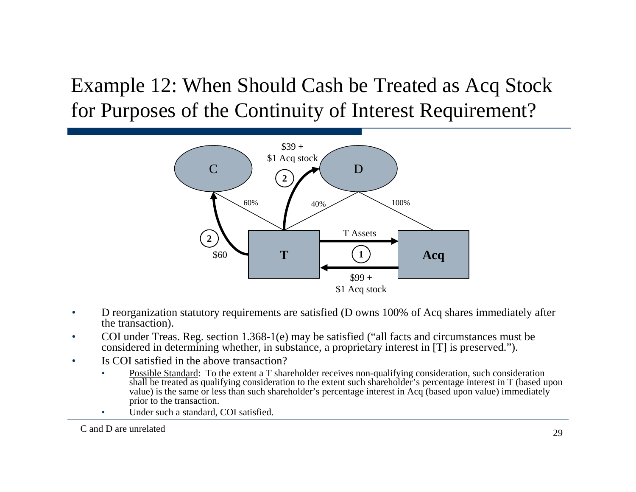Example 12: When Should Cash be Treated as Acq Stock for Purposes of the Continuity of Interest Requirement?



- D reorganization statutory requirements are satisfied (D owns 100% of Acq shares immediately after the transaction).
- COI under Treas. Reg. section 1.368-1(e) may be satisfied ("all facts and circumstances must be considered in determining whether, in substance, a proprietary interest in [T] is preserved.").
- Is COI satisfied in the above transaction?
	- Possible Standard: To the extent a T shareholder receives non-qualifying consideration, such consideration shall be treated as qualifying consideration to the extent such shareholder's percentage interest in T (based upon value) is the same or less than such shareholder's percentage interest in Acq (based upon value) immediately prior to the transaction.
	- Under such a standard, COI satisfied.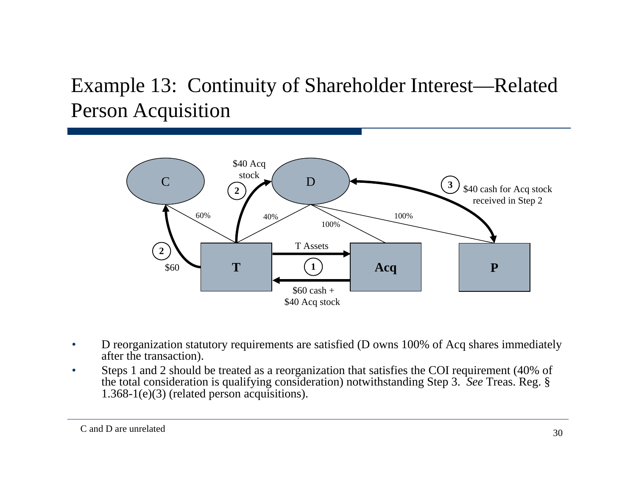# Example 13: Continuity of Shareholder Interest—Related Person Acquisition



- D reorganization statutory requirements are satisfied (D owns 100% of Acq shares immediately after the transaction).
- Steps 1 and 2 should be treated as a reorganization that satisfies the COI requirement (40% of the total consideration is qualifying consideration) notwithstanding Step 3. *See* Treas. Reg. § 1.368-1(e)(3) (related person acquisitions).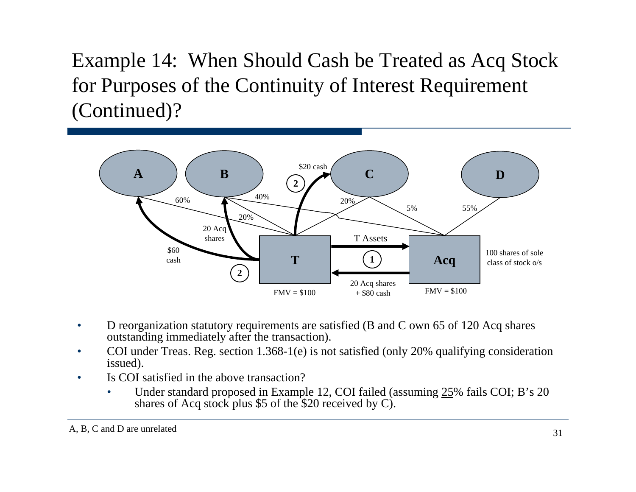Example 14: When Should Cash be Treated as Acq Stock for Purposes of the Continuity of Interest Requirement (Continued)?



- D reorganization statutory requirements are satisfied (B and C own 65 of 120 Acq shares outstanding immediately after the transaction).
- COI under Treas. Reg. section 1.368-1(e) is not satisfied (only 20% qualifying consideration issued).
- Is COI satisfied in the above transaction?
	- Under standard proposed in Example 12, COI failed (assuming 25% fails COI; B's 20 shares of Acq stock plus \$5 of the \$20 received by C).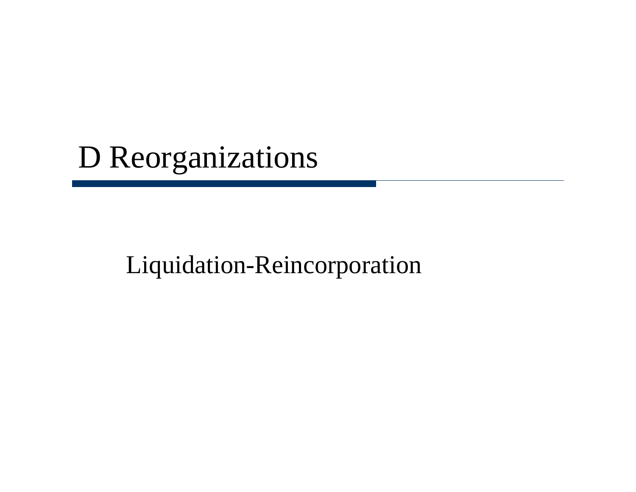# D Reorganizations

# Liquidation-Reincorporation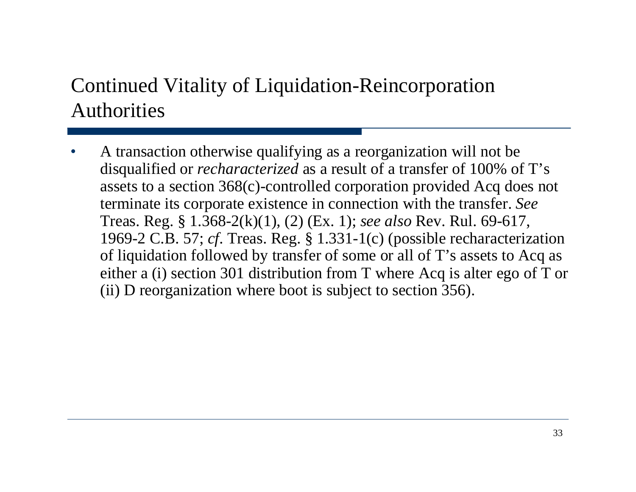# Continued Vitality of Liquidation-Reincorporation Authorities

• A transaction otherwise qualifying as a reorganization will not be disqualified or *recharacterized* as a result of a transfer of 100% of T's assets to a section 368(c)-controlled corporation provided Acq does not terminate its corporate existence in connection with the transfer. *See*  Treas. Reg. § 1.368-2(k)(1), (2) (Ex. 1); *see also* Rev. Rul. 69-617, 1969-2 C.B. 57; *cf*. Treas. Reg. § 1.331-1(c) (possible recharacterization of liquidation followed by transfer of some or all of T's assets to Acq as either a (i) section 301 distribution from T where Acq is alter ego of T or (ii) D reorganization where boot is subject to section 356).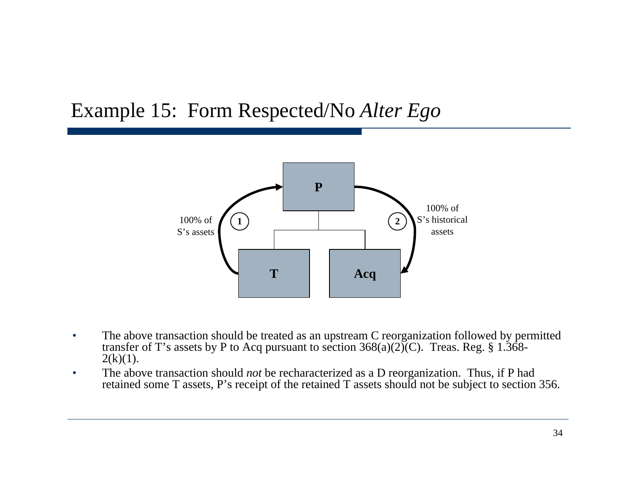### Example 15: Form Respected/No *Alter Ego*



- The above transaction should be treated as an upstream C reorganization followed by permitted transfer of T's assets by P to Acq pursuant to section  $368(a)(2)$ (C). Treas. Reg. § 1.368- $2(k)(1)$ .
- The above transaction should *not* be recharacterized as a D reorganization. Thus, if P had retained some T assets, P's receipt of the retained T assets should not be subject to section 356.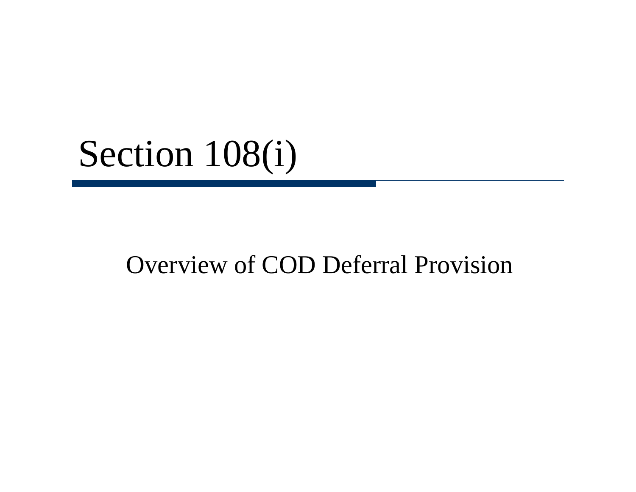# Section 108(i)

# Overview of COD Deferral Provision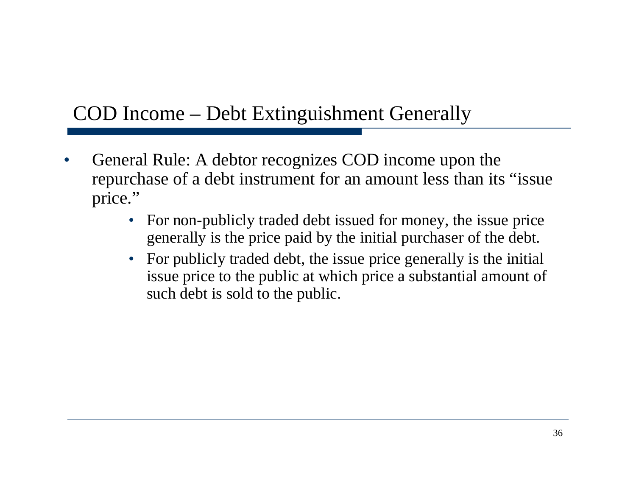### COD Income – Debt Extinguishment Generally

- General Rule: A debtor recognizes COD income upon the repurchase of a debt instrument for an amount less than its "issue price."
	- For non-publicly traded debt issued for money, the issue price generally is the price paid by the initial purchaser of the debt.
	- For publicly traded debt, the issue price generally is the initial issue price to the public at which price a substantial amount of such debt is sold to the public.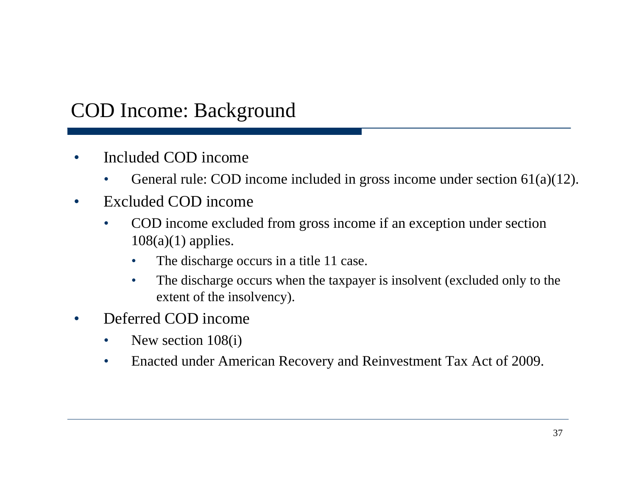### COD Income: Background

- Included COD income
	- General rule: COD income included in gross income under section  $61(a)(12)$ .
- Excluded COD income
	- COD income excluded from gross income if an exception under section  $108(a)(1)$  applies.
		- The discharge occurs in a title 11 case.
		- The discharge occurs when the taxpayer is insolvent (excluded only to the extent of the insolvency).
- Deferred COD income
	- New section 108(i)
	- Enacted under American Recovery and Reinvestment Tax Act of 2009.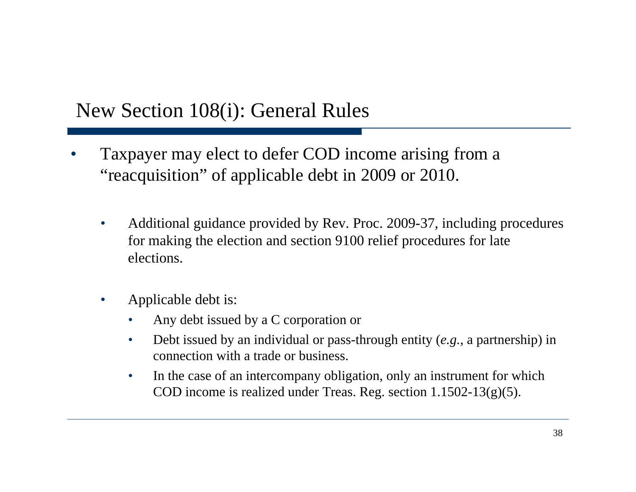### New Section 108(i): General Rules

- Taxpayer may elect to defer COD income arising from a "reacquisition" of applicable debt in 2009 or 2010.
	- Additional guidance provided by Rev. Proc. 2009-37, including procedures for making the election and section 9100 relief procedures for late elections.
	- Applicable debt is:
		- Any debt issued by a C corporation or
		- Debt issued by an individual or pass-through entity (*e.g.*, a partnership) in connection with a trade or business.
		- In the case of an intercompany obligation, only an instrument for which COD income is realized under Treas. Reg. section 1.1502-13(g)(5).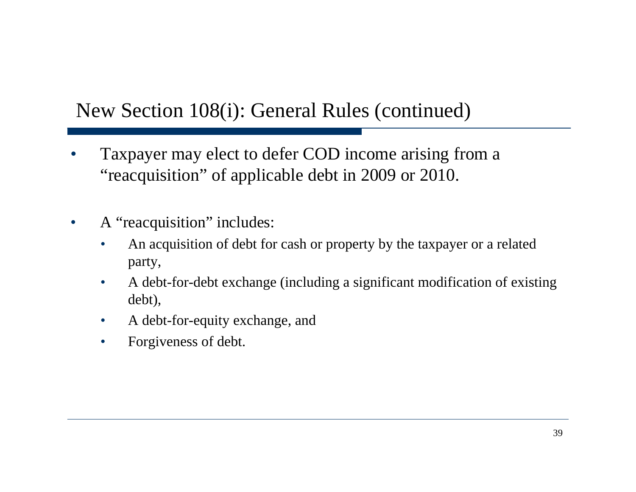### New Section 108(i): General Rules (continued)

- Taxpayer may elect to defer COD income arising from a "reacquisition" of applicable debt in 2009 or 2010.
- A "reacquisition" includes:
	- An acquisition of debt for cash or property by the taxpayer or a related party,
	- A debt-for-debt exchange (including a significant modification of existing debt),
	- A debt-for-equity exchange, and
	- Forgiveness of debt.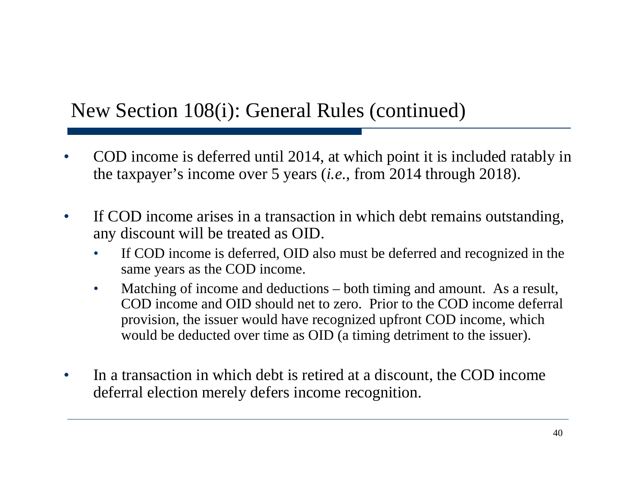### New Section 108(i): General Rules (continued)

- COD income is deferred until 2014, at which point it is included ratably in the taxpayer's income over 5 years (*i.e.*, from 2014 through 2018).
- If COD income arises in a transaction in which debt remains outstanding, any discount will be treated as OID.
	- If COD income is deferred, OID also must be deferred and recognized in the same years as the COD income.
	- Matching of income and deductions both timing and amount. As a result, COD income and OID should net to zero. Prior to the COD income deferral provision, the issuer would have recognized upfront COD income, which would be deducted over time as OID (a timing detriment to the issuer).
- In a transaction in which debt is retired at a discount, the COD income deferral election merely defers income recognition.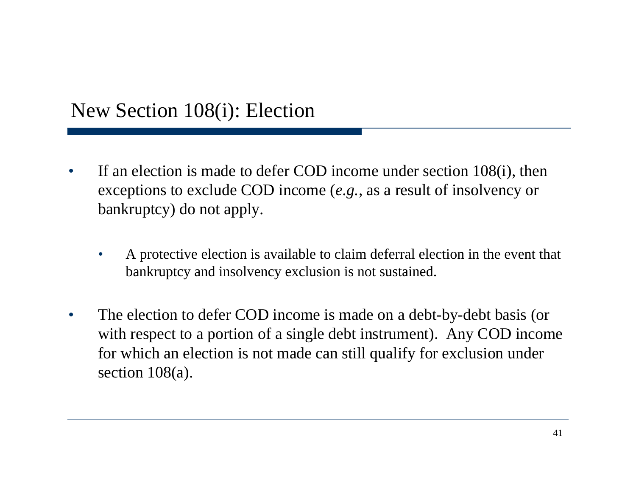### New Section 108(i): Election

- If an election is made to defer COD income under section 108(i), then exceptions to exclude COD income (*e.g.*, as a result of insolvency or bankruptcy) do not apply.
	- A protective election is available to claim deferral election in the event that bankruptcy and insolvency exclusion is not sustained.
- The election to defer COD income is made on a debt-by-debt basis (or with respect to a portion of a single debt instrument). Any COD income for which an election is not made can still qualify for exclusion under section  $108(a)$ .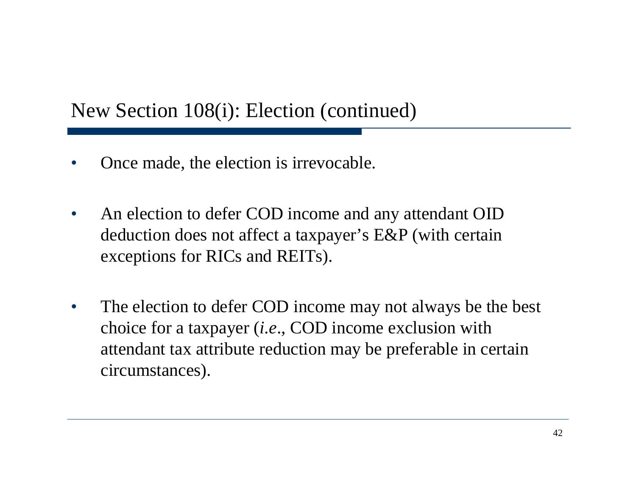### New Section 108(i): Election (continued)

- Once made, the election is irrevocable.
- An election to defer COD income and any attendant OID deduction does not affect a taxpayer's E&P (with certain exceptions for RICs and REITs).
- The election to defer COD income may not always be the best choice for a taxpayer (*i.e*., COD income exclusion with attendant tax attribute reduction may be preferable in certain circumstances).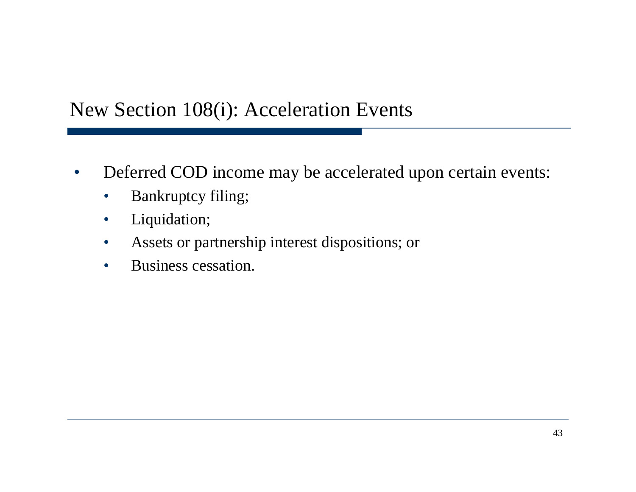### New Section 108(i): Acceleration Events

- Deferred COD income may be accelerated upon certain events:
	- Bankruptcy filing;
	- Liquidation;
	- Assets or partnership interest dispositions; or
	- Business cessation.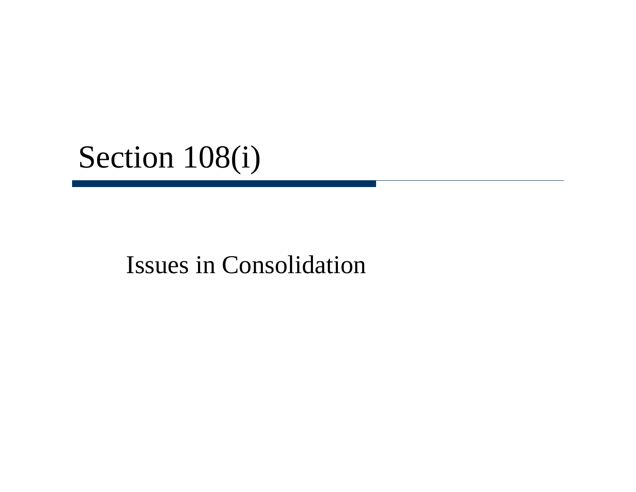# Section 108(i)

# Issues in Consolidation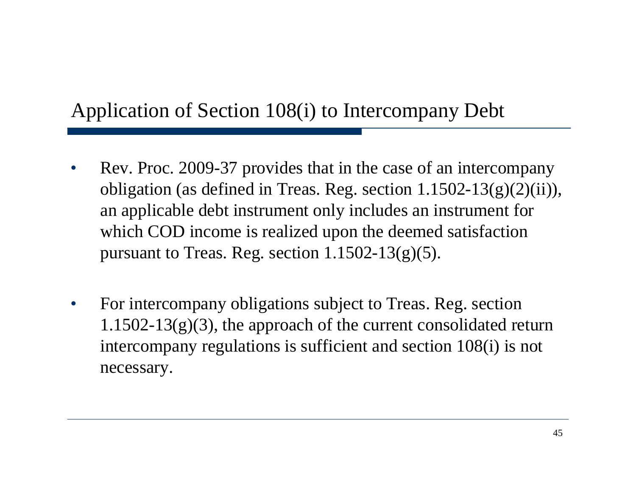### Application of Section 108(i) to Intercompany Debt

- Rev. Proc. 2009-37 provides that in the case of an intercompany obligation (as defined in Treas. Reg. section 1.1502-13(g)(2)(ii)), an applicable debt instrument only includes an instrument for which COD income is realized upon the deemed satisfaction pursuant to Treas. Reg. section  $1.1502 - 13(g)(5)$ .
- For intercompany obligations subject to Treas. Reg. section  $1.1502 - 13(g)(3)$ , the approach of the current consolidated return intercompany regulations is sufficient and section 108(i) is not necessary.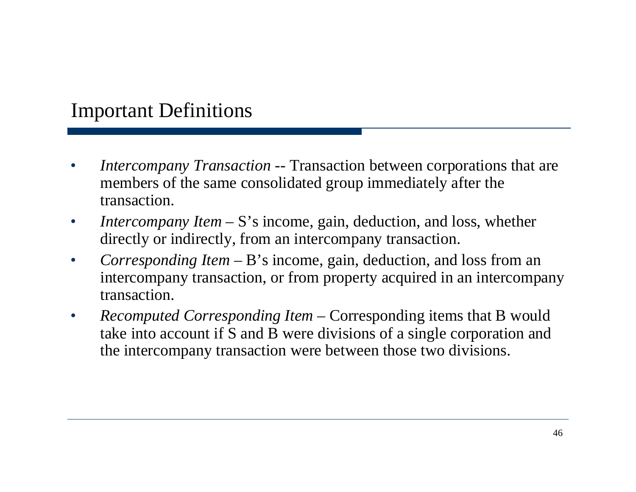### Important Definitions

- *Intercompany Transaction* -- Transaction between corporations that are members of the same consolidated group immediately after the transaction.
- *Intercompany Item S*'s income, gain, deduction, and loss, whether directly or indirectly, from an intercompany transaction.
- *Corresponding Item* B's income, gain, deduction, and loss from an intercompany transaction, or from property acquired in an intercompany transaction.
- *Recomputed Corresponding Item Corresponding items that B would* take into account if S and B were divisions of a single corporation and the intercompany transaction were between those two divisions.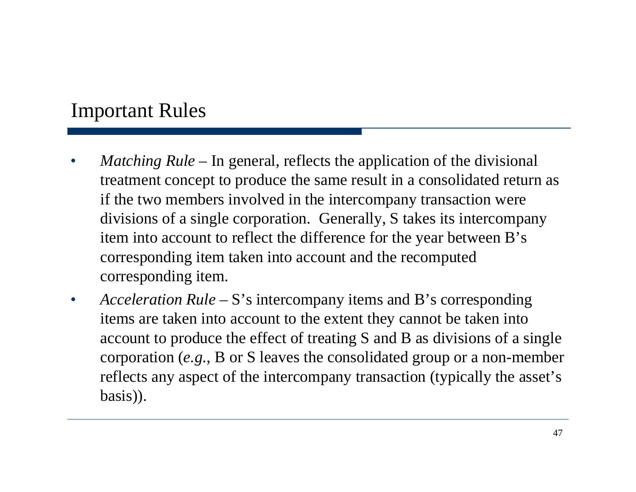#### Important Rules

- *Matching Rule*  In general, reflects the application of the divisional treatment concept to produce the same result in a consolidated return as if the two members involved in the intercompany transaction were divisions of a single corporation. Generally, S takes its intercompany item into account to reflect the difference for the year between B's corresponding item taken into account and the recomputed corresponding item.
- *Acceleration Rule* S's intercompany items and B's corresponding items are taken into account to the extent they cannot be taken into account to produce the effect of treating S and B as divisions of a single corporation (*e.g.*, B or S leaves the consolidated group or a non-member reflects any aspect of the intercompany transaction (typically the asset's basis)).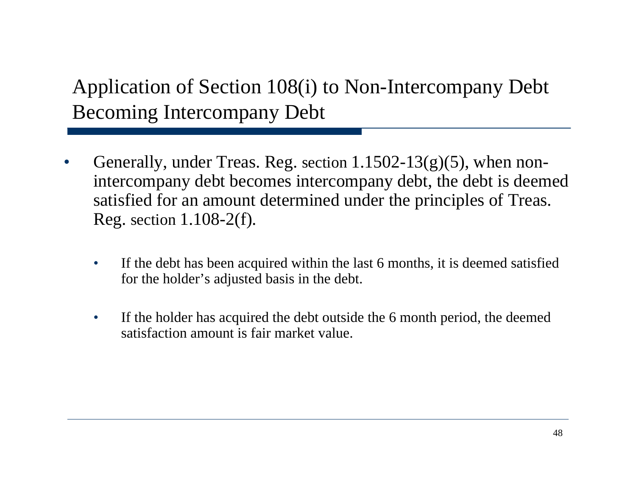## Application of Section 108(i) to Non-Intercompany Debt Becoming Intercompany Debt

- Generally, under Treas. Reg. section  $1.1502 13(g)(5)$ , when nonintercompany debt becomes intercompany debt, the debt is deemed satisfied for an amount determined under the principles of Treas. Reg. section 1.108-2(f).
	- If the debt has been acquired within the last 6 months, it is deemed satisfied for the holder's adjusted basis in the debt.
	- If the holder has acquired the debt outside the 6 month period, the deemed satisfaction amount is fair market value.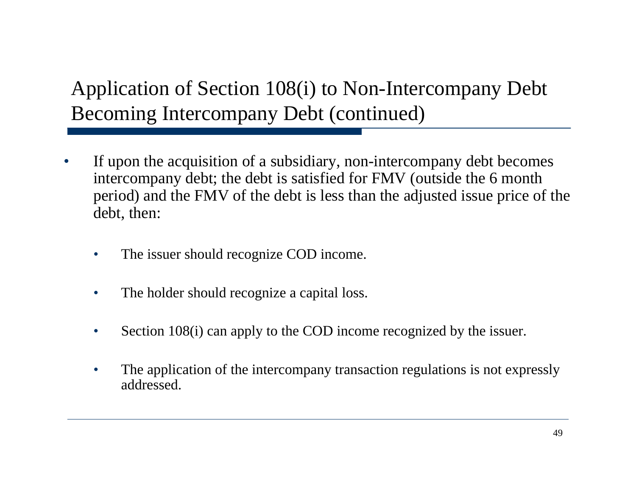Application of Section 108(i) to Non-Intercompany Debt Becoming Intercompany Debt (continued)

- If upon the acquisition of a subsidiary, non-intercompany debt becomes intercompany debt; the debt is satisfied for FMV (outside the 6 month period) and the FMV of the debt is less than the adjusted issue price of the debt, then:
	- The issuer should recognize COD income.
	- The holder should recognize a capital loss.
	- Section 108(i) can apply to the COD income recognized by the issuer.
	- The application of the intercompany transaction regulations is not expressly addressed.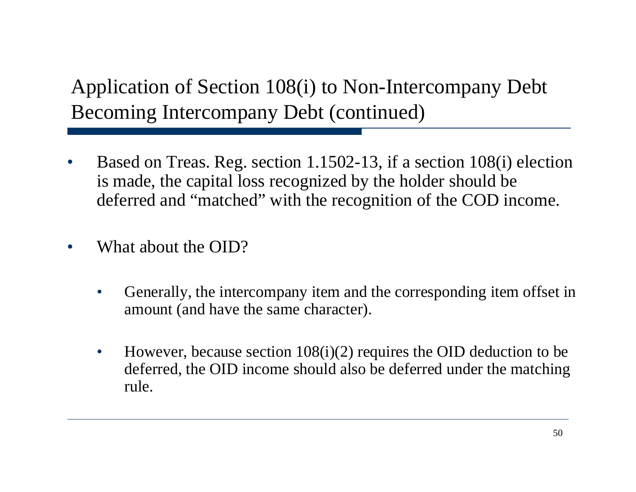# Application of Section 108(i) to Non-Intercompany Debt Becoming Intercompany Debt (continued)

- Based on Treas. Reg. section 1.1502-13, if a section 108(i) election is made, the capital loss recognized by the holder should be deferred and "matched" with the recognition of the COD income.
- What about the OID?
	- Generally, the intercompany item and the corresponding item offset in amount (and have the same character).
	- However, because section  $108(i)(2)$  requires the OID deduction to be deferred, the OID income should also be deferred under the matching rule.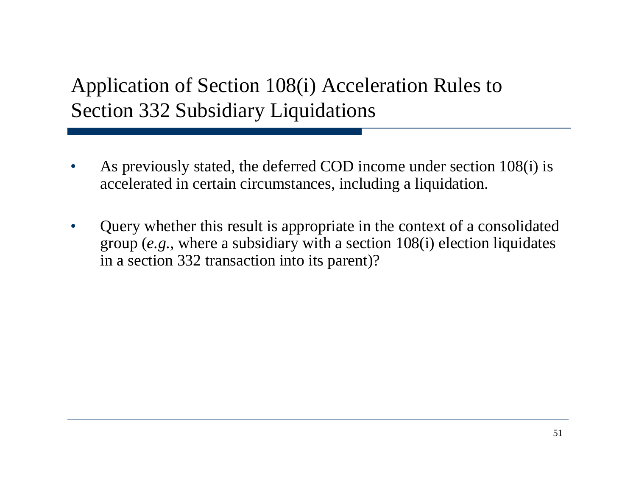# Application of Section 108(i) Acceleration Rules to Section 332 Subsidiary Liquidations

- As previously stated, the deferred COD income under section 108(i) is accelerated in certain circumstances, including a liquidation.
- Query whether this result is appropriate in the context of a consolidated group (*e.g.*, where a subsidiary with a section 108(i) election liquidates in a section 332 transaction into its parent)?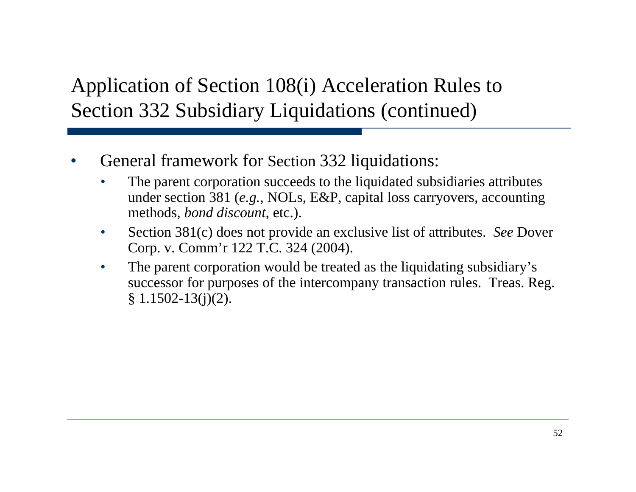# Application of Section 108(i) Acceleration Rules to Section 332 Subsidiary Liquidations (continued)

- General framework for Section 332 liquidations:
	- The parent corporation succeeds to the liquidated subsidiaries attributes under section 381 (*e.g.*, NOLs, E&P, capital loss carryovers, accounting methods, *bond discount*, etc.).
	- Section 381(c) does not provide an exclusive list of attributes. *See* Dover Corp. v. Comm'r 122 T.C. 324 (2004).
	- The parent corporation would be treated as the liquidating subsidiary's successor for purposes of the intercompany transaction rules. Treas. Reg.  $§ 1.1502 - 13(j)(2).$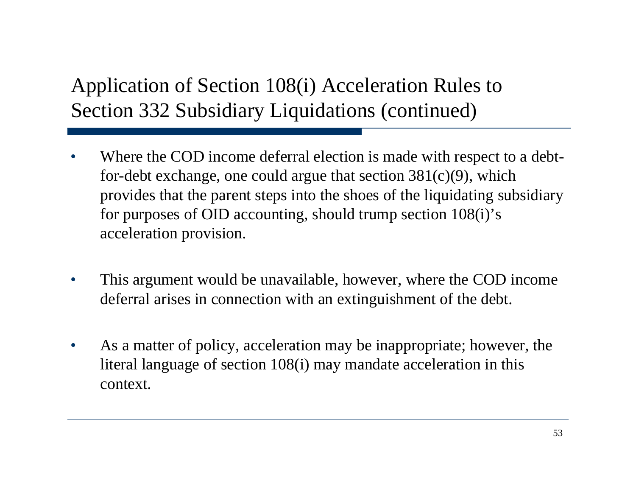# Application of Section 108(i) Acceleration Rules to Section 332 Subsidiary Liquidations (continued)

- Where the COD income deferral election is made with respect to a debtfor-debt exchange, one could argue that section  $381(c)(9)$ , which provides that the parent steps into the shoes of the liquidating subsidiary for purposes of OID accounting, should trump section 108(i)'s acceleration provision.
- This argument would be unavailable, however, where the COD income deferral arises in connection with an extinguishment of the debt.
- As a matter of policy, acceleration may be inappropriate; however, the literal language of section 108(i) may mandate acceleration in this context.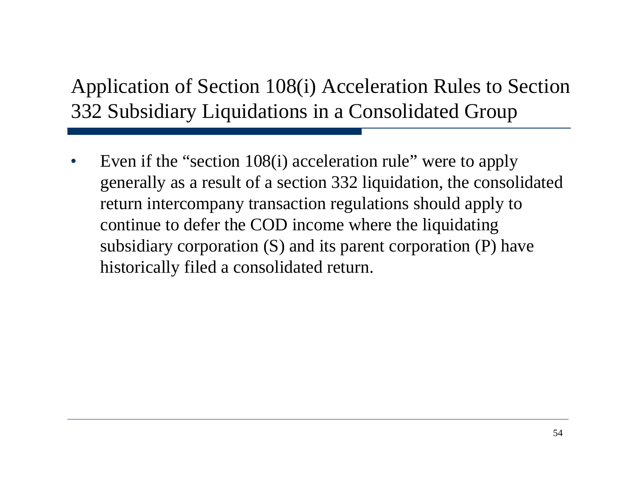# Application of Section 108(i) Acceleration Rules to Section 332 Subsidiary Liquidations in a Consolidated Group

• Even if the "section 108(i) acceleration rule" were to apply generally as a result of a section 332 liquidation, the consolidated return intercompany transaction regulations should apply to continue to defer the COD income where the liquidating subsidiary corporation (S) and its parent corporation (P) have historically filed a consolidated return.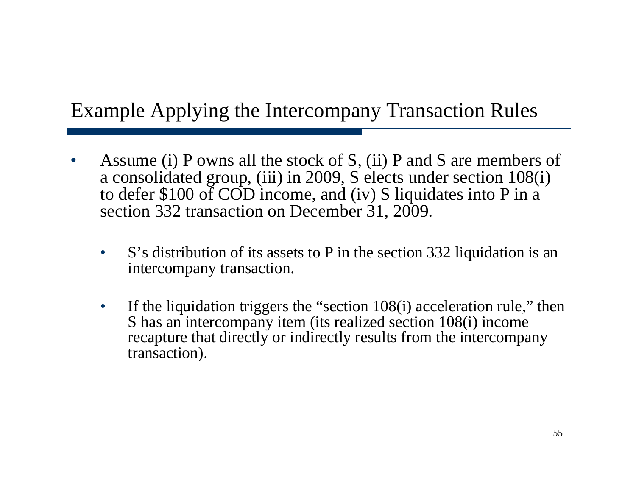### Example Applying the Intercompany Transaction Rules

- Assume (i) P owns all the stock of S, (ii) P and S are members of a consolidated group, (iii) in 2009, S elects under section 108(i) to defer \$100 of COD income, and (iv) S liquidates into P in a section 332 transaction on December 31, 2009.
	- S's distribution of its assets to P in the section 332 liquidation is an intercompany transaction.
	- If the liquidation triggers the "section 108(i) acceleration rule," then S has an intercompany item (its realized section 108(i) income recapture that directly or indirectly results from the intercompany transaction).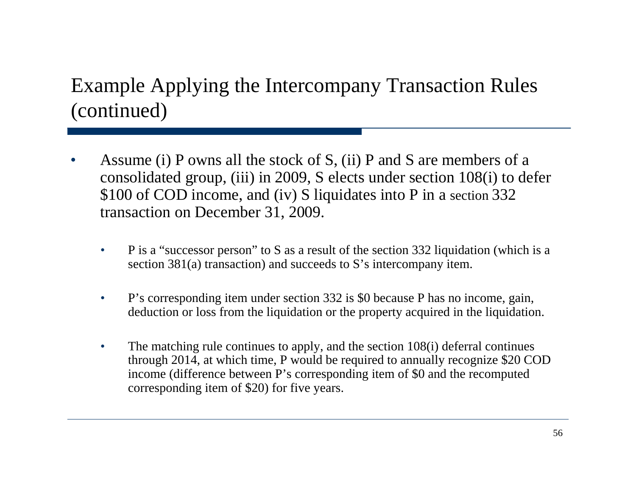# Example Applying the Intercompany Transaction Rules (continued)

- Assume (i) P owns all the stock of S, (ii) P and S are members of a consolidated group, (iii) in 2009, S elects under section 108(i) to defer \$100 of COD income, and (iv) S liquidates into P in a section 332 transaction on December 31, 2009.
	- P is a "successor person" to S as a result of the section 332 liquidation (which is a section 381(a) transaction) and succeeds to S's intercompany item.
	- P's corresponding item under section 332 is \$0 because P has no income, gain, deduction or loss from the liquidation or the property acquired in the liquidation.
	- The matching rule continues to apply, and the section 108(i) deferral continues through 2014, at which time, P would be required to annually recognize \$20 COD income (difference between P's corresponding item of \$0 and the recomputed corresponding item of \$20) for five years.